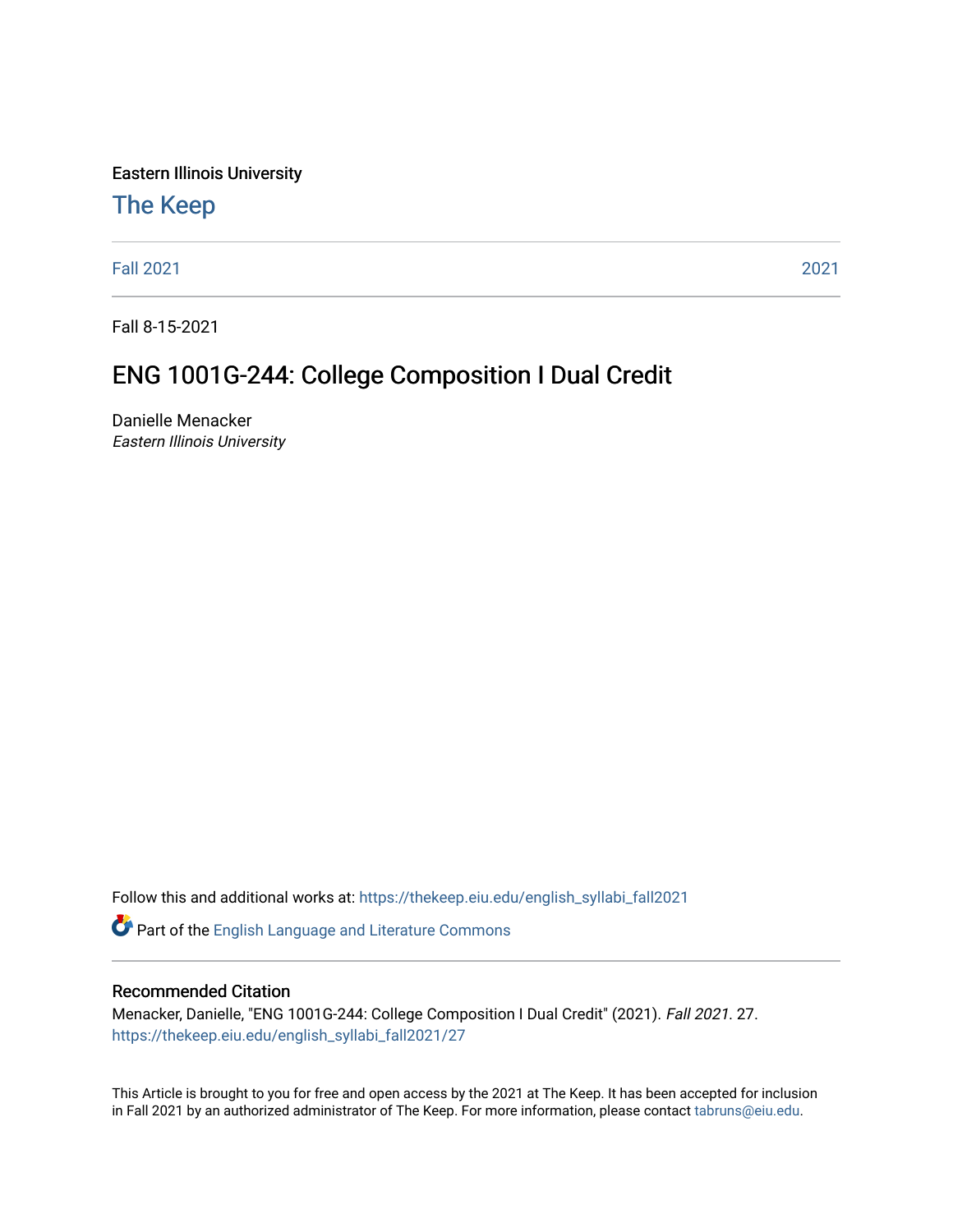Eastern Illinois University

## [The Keep](https://thekeep.eiu.edu/)

[Fall 2021](https://thekeep.eiu.edu/english_syllabi_fall2021) [2021](https://thekeep.eiu.edu/english_syllabi2021) 

Fall 8-15-2021

# ENG 1001G-244: College Composition I Dual Credit

Danielle Menacker Eastern Illinois University

Follow this and additional works at: [https://thekeep.eiu.edu/english\\_syllabi\\_fall2021](https://thekeep.eiu.edu/english_syllabi_fall2021?utm_source=thekeep.eiu.edu%2Fenglish_syllabi_fall2021%2F27&utm_medium=PDF&utm_campaign=PDFCoverPages) 

Part of the [English Language and Literature Commons](http://network.bepress.com/hgg/discipline/455?utm_source=thekeep.eiu.edu%2Fenglish_syllabi_fall2021%2F27&utm_medium=PDF&utm_campaign=PDFCoverPages)

#### Recommended Citation

Menacker, Danielle, "ENG 1001G-244: College Composition I Dual Credit" (2021). Fall 2021. 27. [https://thekeep.eiu.edu/english\\_syllabi\\_fall2021/27](https://thekeep.eiu.edu/english_syllabi_fall2021/27?utm_source=thekeep.eiu.edu%2Fenglish_syllabi_fall2021%2F27&utm_medium=PDF&utm_campaign=PDFCoverPages)

This Article is brought to you for free and open access by the 2021 at The Keep. It has been accepted for inclusion in Fall 2021 by an authorized administrator of The Keep. For more information, please contact [tabruns@eiu.edu](mailto:tabruns@eiu.edu).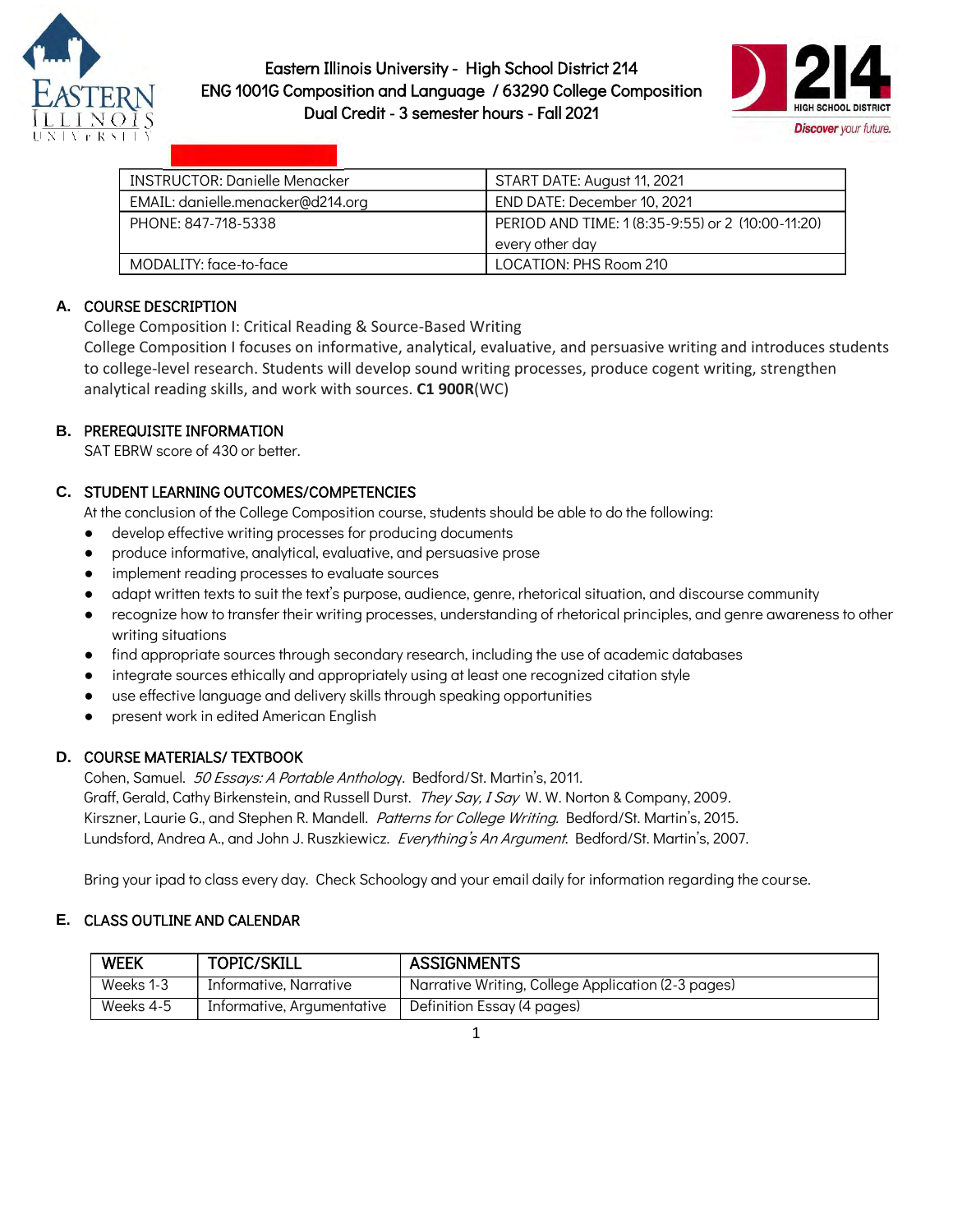



| <b>INSTRUCTOR: Danielle Menacker</b> | START DATE: August 11, 2021                       |
|--------------------------------------|---------------------------------------------------|
| EMAIL: danielle.menacker@d214.org    | END DATE: December 10, 2021                       |
| PHONE: 847-718-5338                  | PERIOD AND TIME: 1 (8:35-9:55) or 2 (10:00-11:20) |
|                                      | every other day                                   |
| MODALITY: face-to-face               | LOCATION: PHS Room 210                            |

## **A.** COURSE DESCRIPTION

College Composition I: Critical Reading & Source-Based Writing

College Composition I focuses on informative, analytical, evaluative, and persuasive writing and introduces students to college-level research. Students will develop sound writing processes, produce cogent writing, strengthen analytical reading skills, and work with sources. **C1 900R**(WC)

## **B.** PREREQUISITE INFORMATION

SAT EBRW score of 430 or better.

#### **C.** STUDENT LEARNING OUTCOMES/COMPETENCIES

At the conclusion of the College Composition course, students should be able to do the following:

- develop effective writing processes for producing documents
- produce informative, analytical, evaluative, and persuasive prose
- implement reading processes to evaluate sources
- adapt written texts to suit the text's purpose, audience, genre, rhetorical situation, and discourse community
- recognize how to transfer their writing processes, understanding of rhetorical principles, and genre awareness to other writing situations
- find appropriate sources through secondary research, including the use of academic databases
- integrate sources ethically and appropriately using at least one recognized citation style
- use effective language and delivery skills through speaking opportunities
- present work in edited American English

#### **D.** COURSE MATERIALS/ TEXTBOOK

 Cohen, Samuel. 50 Essays: A Portable Anthology. Bedford/St. Martin's, 2011. Graff, Gerald, Cathy Birkenstein, and Russell Durst. They Say, I Say W. W. Norton & Company, 2009. Kirszner, Laurie G., and Stephen R. Mandell. Patterns for College Writing. Bedford/St. Martin's, 2015. Lundsford, Andrea A., and John J. Ruszkiewicz. Everything's An Argument. Bedford/St. Martin's, 2007.

Bring your ipad to class every day. Check Schoology and your email daily for information regarding the course.

## **E.** CLASS OUTLINE AND CALENDAR

| <b>WEEK</b> | <b>TOPIC/SKILL</b>         | <b>ASSIGNMENTS</b>                                 |
|-------------|----------------------------|----------------------------------------------------|
| Weeks 1-3   | Informative, Narrative     | Narrative Writing, College Application (2-3 pages) |
| Weeks 4-5   | Informative, Argumentative | Definition Essay (4 pages)                         |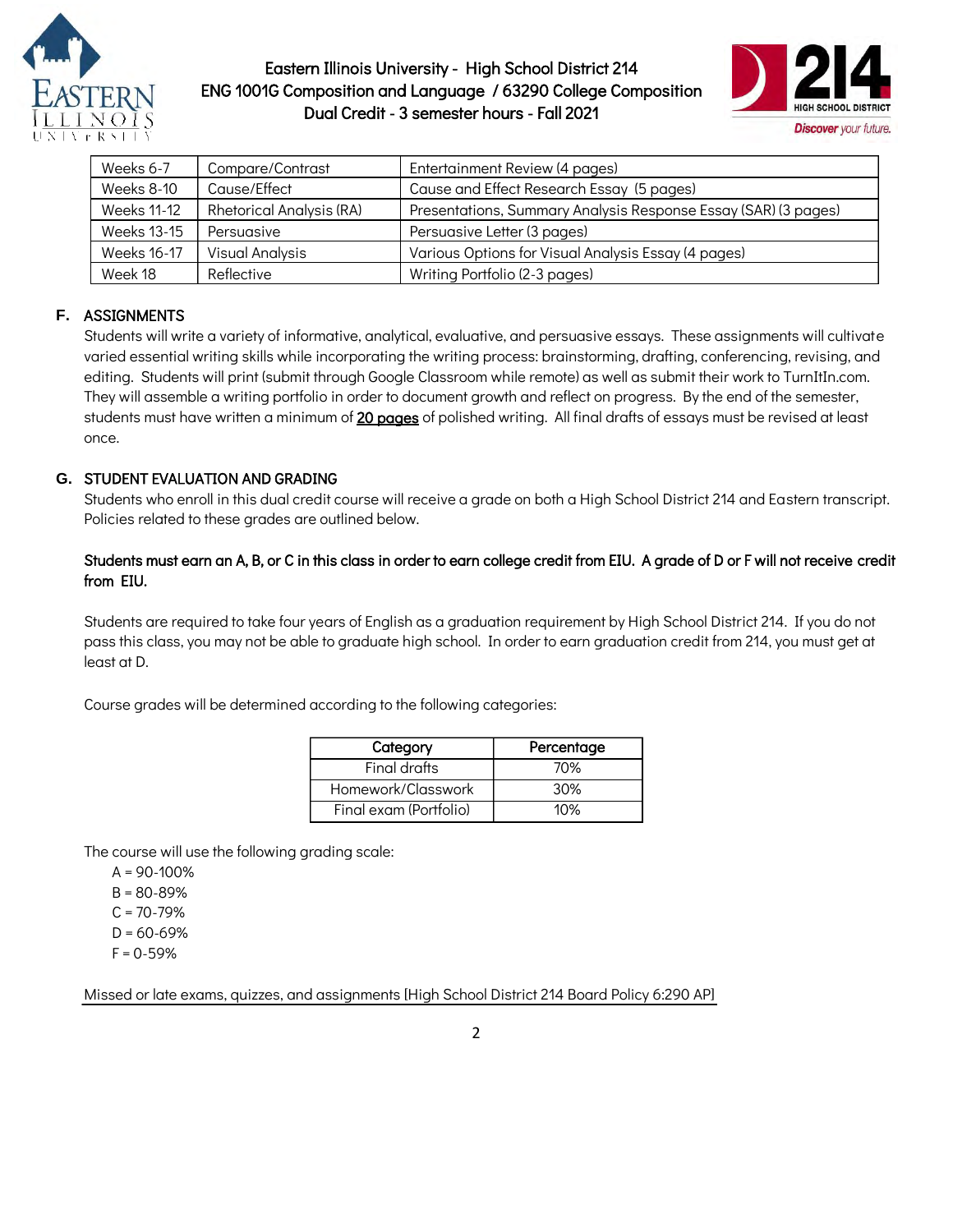



| Weeks 6-7          | Compare/Contrast                | Entertainment Review (4 pages)                                 |
|--------------------|---------------------------------|----------------------------------------------------------------|
| <b>Weeks 8-10</b>  | Cause/Effect                    | Cause and Effect Research Essay (5 pages)                      |
| <b>Weeks 11-12</b> | <b>Rhetorical Analysis (RA)</b> | Presentations, Summary Analysis Response Essay (SAR) (3 pages) |
| Weeks 13-15        | Persuasive                      | Persuasive Letter (3 pages)                                    |
| Weeks 16-17        | <b>Visual Analysis</b>          | Various Options for Visual Analysis Essay (4 pages)            |
| Week 18            | Reflective                      | Writing Portfolio (2-3 pages)                                  |

## **F.** ASSIGNMENTS

Students will write a variety of informative, analytical, evaluative, and persuasive essays. These assignments will cultivate varied essential writing skills while incorporating the writing process: brainstorming, drafting, conferencing, revising, and editing. Students will print (submit through Google Classroom while remote) as well as submit their work to TurnItIn.com. They will assemble a writing portfolio in order to document growth and reflect on progress. By the end of the semester, students must have written a minimum of 20 pages of polished writing. All final drafts of essays must be revised at least once.

#### **G.** STUDENT EVALUATION AND GRADING

Students who enroll in this dual credit course will receive a grade on both a High School District 214 and Eastern transcript. Policies related to these grades are outlined below.

#### Students must earn an A, B, or C in this class in order to earn college credit from EIU. A grade of D or F will not receive credit from EIU.

Students are required to take four years of English as a graduation requirement by High School District 214. If you do not pass this class, you may not be able to graduate high school. In order to earn graduation credit from 214, you must get at least at D.

Course grades will be determined according to the following categories:

| Category               | Percentage |
|------------------------|------------|
| Final drafts           | 70%        |
| Homework/Classwork     | 30%        |
| Final exam (Portfolio) | 10%        |

The course will use the following grading scale:

- $A = 90 100%$
- B = 80-89%
- $C = 70 79%$
- $D = 60 69%$
- $F = 0.59%$

Missed or late exams, quizzes, and assignments [High School District 214 Board Policy 6:290 AP]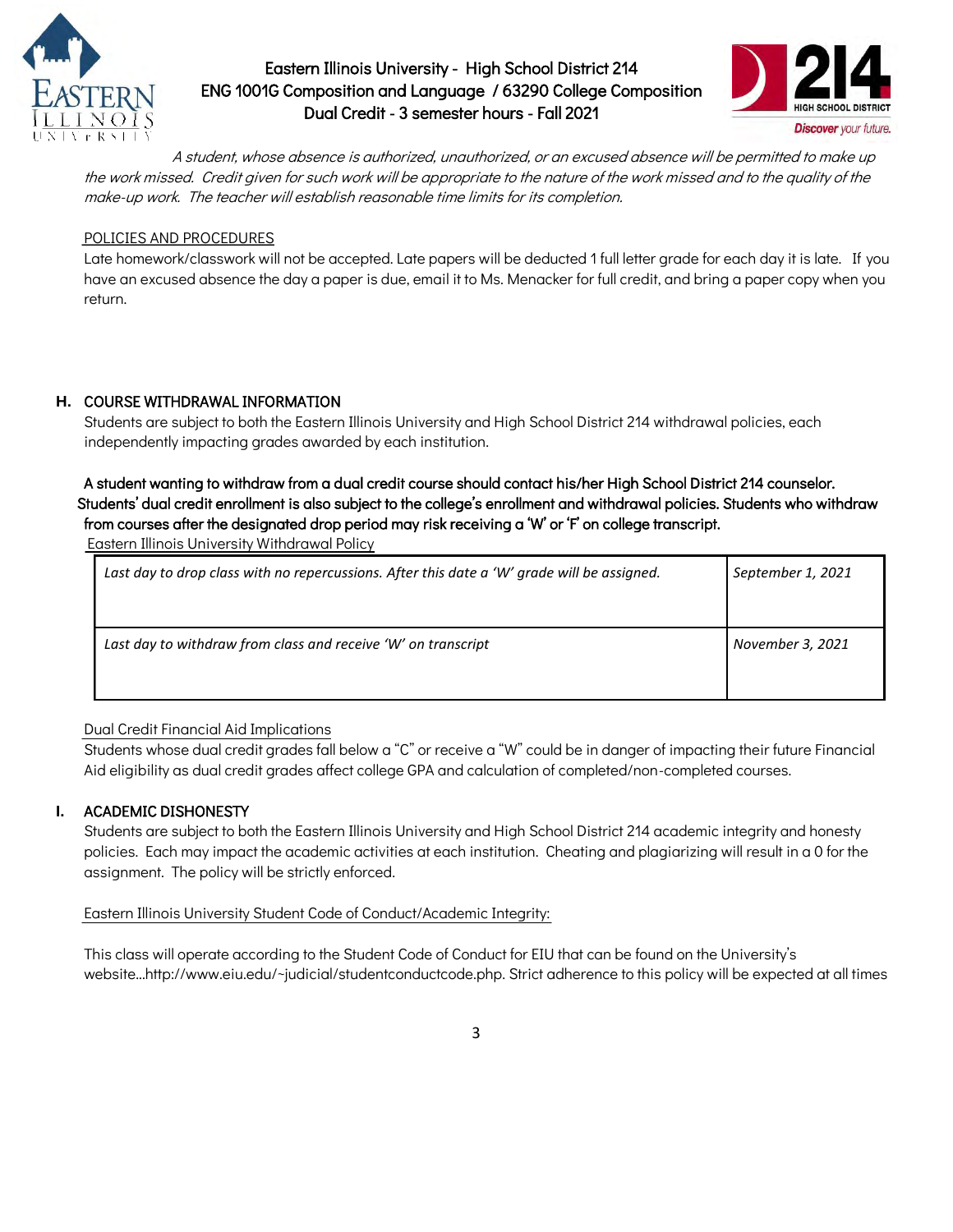



A student, whose absence is authorized, unauthorized, or an excused absence will be permitted to make up the work missed. Credit given for such work will be appropriate to the nature of the work missed and to the quality of the make-up work. The teacher will establish reasonable time limits for its completion.

#### POLICIES AND PROCEDURES

Late homework/classwork will not be accepted. Late papers will be deducted 1 full letter grade for each day it is late. If you have an excused absence the day a paper is due, email it to Ms. Menacker for full credit, and bring a paper copy when you return.

#### **H.** COURSE WITHDRAWAL INFORMATION

Students are subject to both the Eastern Illinois University and High School District 214 withdrawal policies, each independently impacting grades awarded by each institution.

#### A student wanting to withdraw from a dual credit course should contact his/her High School District 214 counselor. Students' dual credit enrollment is also subject to the college's enrollment and withdrawal policies. Students who withdraw from courses after the designated drop period may risk receiving a 'W' or 'F' on college transcript.

Eastern Illinois University Withdrawal Policy

| Last day to drop class with no repercussions. After this date a 'W' grade will be assigned. | September 1, 2021 |
|---------------------------------------------------------------------------------------------|-------------------|
| Last day to withdraw from class and receive 'W' on transcript                               | November 3, 2021  |

#### Dual Credit Financial Aid Implications

Students whose dual credit grades fall below a "C" or receive a "W" could be in danger of impacting their future Financial Aid eligibility as dual credit grades affect college GPA and calculation of completed/non-completed courses.

#### **I.** ACADEMIC DISHONESTY

Students are subject to both the Eastern Illinois University and High School District 214 academic integrity and honesty policies. Each may impact the academic activities at each institution. Cheating and plagiarizing will result in a 0 for the assignment. The policy will be strictly enforced.

#### Eastern Illinois University Student Code of Conduct/Academic Integrity:

 This class will operate according to the Student Code of Conduct for EIU that can be found on the University's website...http://www.eiu.edu/~judicial/studentconductcode.php. Strict adherence to this policy will be expected at all times